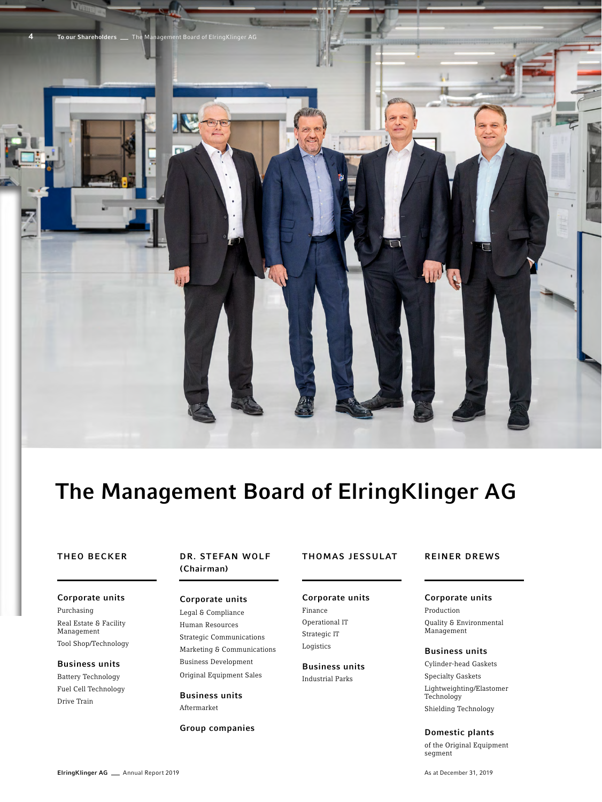

# The Management Board of ElringKlinger AG

# THEO BECKER

## Corporate units

Purchasing Real Estate & Facility Management Tool Shop/Technology

### Business units

Battery Technology Fuel Cell Technology Drive Train

# DR. STEFAN WOLF (Chairman)

Legal & Compliance Human Resources Strategic Communications Marketing & Communications Business Development Original Equipment Sales

Business units Aftermarket

Group companies

# THOMAS JESSULAT

### REINER DREWS

#### Corporate units Corporate units

Finance Operational IT Strategic IT Logistics

# Business units

Industrial Parks

Corporate units Production

Quality & Environmental Management

### Business units

Cylinder-head Gaskets Specialty Gaskets Lightweighting/Elastomer Technology

Shielding Technology

## Domestic plants

of the Original Equipment segment

#### ElringKlinger AG \_ Annual Report 2019

As at December 31, 2019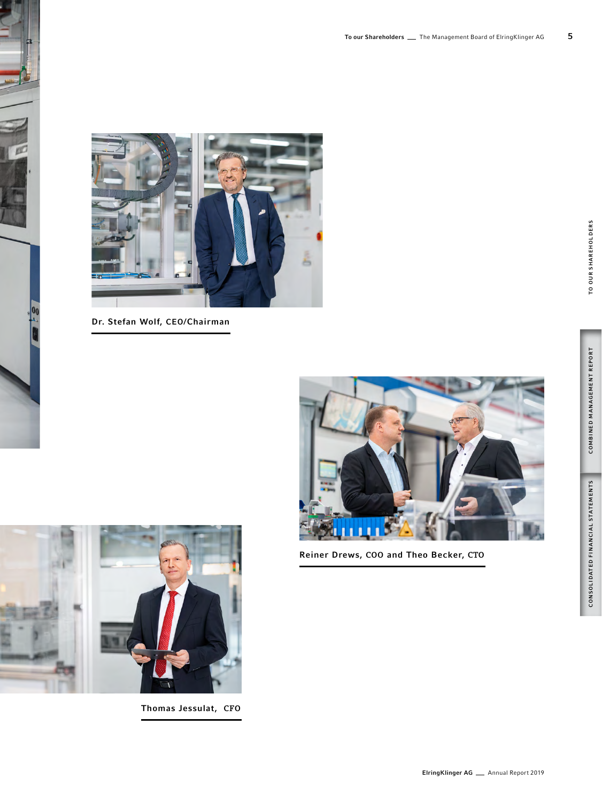

Dr. Stefan Wolf, CEO/Chairman



Reiner Drews, COO and Theo Becker, CTO



Thomas Jessulat, CFO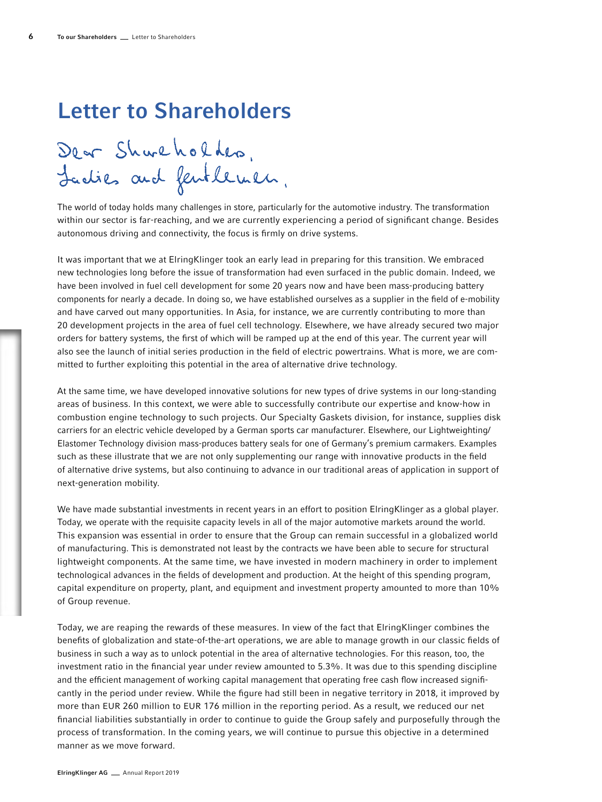# Letter to Shareholders

Dear Shareholder, Ladies and fentlemen.

The world of today holds many challenges in store, particularly for the automotive industry. The transformation within our sector is far-reaching, and we are currently experiencing a period of significant change. Besides autonomous driving and connectivity, the focus is firmly on drive systems.

It was important that we at ElringKlinger took an early lead in preparing for this transition. We embraced new technologies long before the issue of transformation had even surfaced in the public domain. Indeed, we have been involved in fuel cell development for some 20 years now and have been mass-producing battery components for nearly a decade. In doing so, we have established ourselves as a supplier in the field of e-mobility and have carved out many opportunities. In Asia, for instance, we are currently contributing to more than 20 development projects in the area of fuel cell technology. Elsewhere, we have already secured two major orders for battery systems, the first of which will be ramped up at the end of this year. The current year will also see the launch of initial series production in the field of electric powertrains. What is more, we are committed to further exploiting this potential in the area of alternative drive technology.

At the same time, we have developed innovative solutions for new types of drive systems in our long-standing areas of business. In this context, we were able to successfully contribute our expertise and know-how in combustion engine technology to such projects. Our Specialty Gaskets division, for instance, supplies disk carriers for an electric vehicle developed by a German sports car manufacturer. Elsewhere, our Lightweighting/ Elastomer Technology division mass-produces battery seals for one of Germany's premium carmakers. Examples such as these illustrate that we are not only supplementing our range with innovative products in the field of alternative drive systems, but also continuing to advance in our traditional areas of application in support of next-generation mobility.

We have made substantial investments in recent years in an effort to position ElringKlinger as a global player. Today, we operate with the requisite capacity levels in all of the major automotive markets around the world. This expansion was essential in order to ensure that the Group can remain successful in a globalized world of manufacturing. This is demonstrated not least by the contracts we have been able to secure for structural lightweight components. At the same time, we have invested in modern machinery in order to implement technological advances in the fields of development and production. At the height of this spending program, capital expenditure on property, plant, and equipment and investment property amounted to more than 10% of Group revenue.

Today, we are reaping the rewards of these measures. In view of the fact that ElringKlinger combines the benefits of globalization and state-of-the-art operations, we are able to manage growth in our classic fields of business in such a way as to unlock potential in the area of alternative technologies. For this reason, too, the investment ratio in the financial year under review amounted to 5.3%. It was due to this spending discipline and the efficient management of working capital management that operating free cash flow increased significantly in the period under review. While the figure had still been in negative territory in 2018, it improved by more than EUR 260 million to EUR 176 million in the reporting period. As a result, we reduced our net financial liabilities substantially in order to continue to guide the Group safely and purposefully through the process of transformation. In the coming years, we will continue to pursue this objective in a determined manner as we move forward.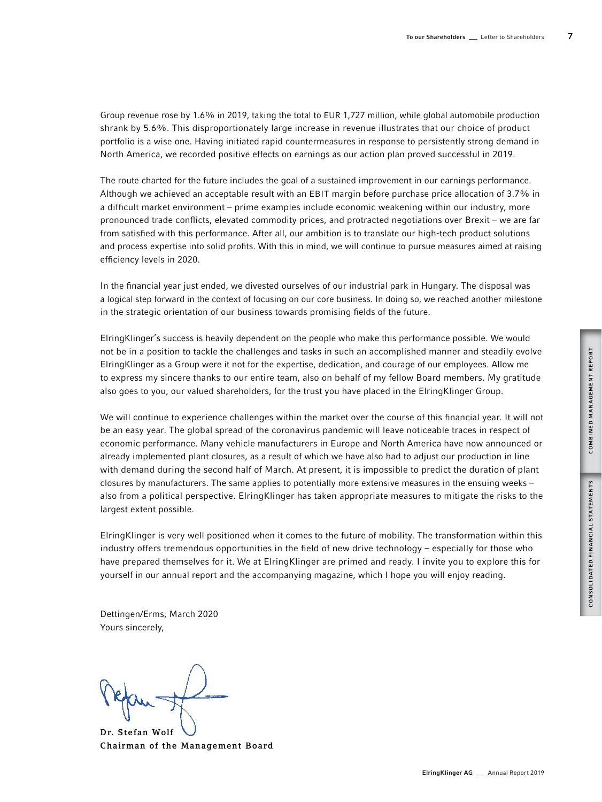Group revenue rose by 1.6% in 2019, taking the total to EUR 1,727 million, while global automobile production shrank by 5.6%. This disproportionately large increase in revenue illustrates that our choice of product portfolio is a wise one. Having initiated rapid countermeasures in response to persistently strong demand in North America, we recorded positive effects on earnings as our action plan proved successful in 2019.

The route charted for the future includes the goal of a sustained improvement in our earnings performance. Although we achieved an acceptable result with an EBIT margin before purchase price allocation of 3.7% in a difficult market environment – prime examples include economic weakening within our industry, more pronounced trade conflicts, elevated commodity prices, and protracted negotiations over Brexit – we are far from satisfied with this performance. After all, our ambition is to translate our high-tech product solutions and process expertise into solid profits. With this in mind, we will continue to pursue measures aimed at raising efficiency levels in 2020.

In the financial year just ended, we divested ourselves of our industrial park in Hungary. The disposal was a logical step forward in the context of focusing on our core business. In doing so, we reached another milestone in the strategic orientation of our business towards promising fields of the future.

ElringKlinger's success is heavily dependent on the people who make this performance possible. We would not be in a position to tackle the challenges and tasks in such an accomplished manner and steadily evolve ElringKlinger as a Group were it not for the expertise, dedication, and courage of our employees. Allow me to express my sincere thanks to our entire team, also on behalf of my fellow Board members. My gratitude also goes to you, our valued shareholders, for the trust you have placed in the ElringKlinger Group.

We will continue to experience challenges within the market over the course of this financial year. It will not be an easy year. The global spread of the coronavirus pandemic will leave noticeable traces in respect of economic performance. Many vehicle manufacturers in Europe and North America have now announced or already implemented plant closures, as a result of which we have also had to adjust our production in line with demand during the second half of March. At present, it is impossible to predict the duration of plant closures by manufacturers. The same applies to potentially more extensive measures in the ensuing weeks – also from a political perspective. ElringKlinger has taken appropriate measures to mitigate the risks to the largest extent possible.

ElringKlinger is very well positioned when it comes to the future of mobility. The transformation within this industry offers tremendous opportunities in the field of new drive technology – especially for those who have prepared themselves for it. We at ElringKlinger are primed and ready. I invite you to explore this for yourself in our annual report and the accompanying magazine, which I hope you will enjoy reading.

Dettingen/Erms, March 2020 Yours sincerely,

Dr. Stefan Wolf Chairman of the Management Board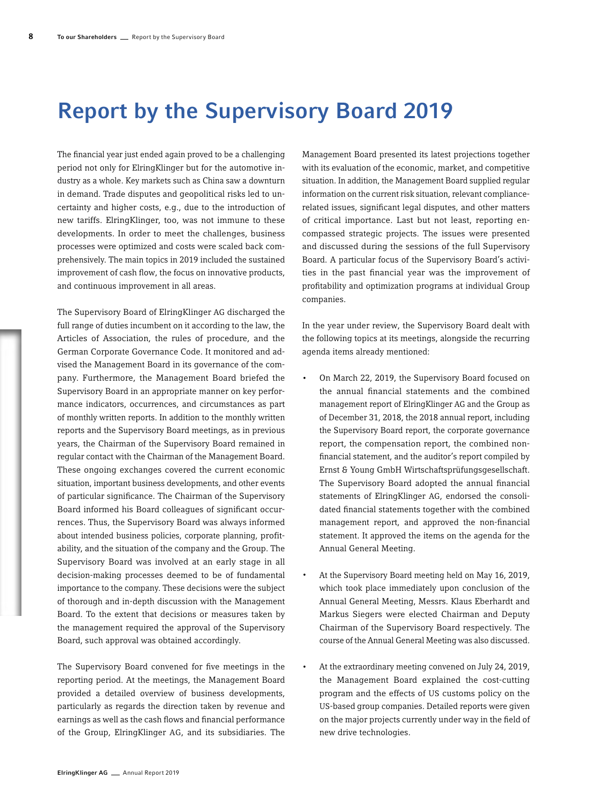# Report by the Supervisory Board 2019

The financial year just ended again proved to be a challenging period not only for ElringKlinger but for the automotive industry as a whole. Key markets such as China saw a downturn in demand. Trade disputes and geopolitical risks led to uncertainty and higher costs, e.g., due to the introduction of new tariffs. ElringKlinger, too, was not immune to these developments. In order to meet the challenges, business processes were optimized and costs were scaled back comprehensively. The main topics in 2019 included the sustained improvement of cash flow, the focus on innovative products, and continuous improvement in all areas.

The Supervisory Board of ElringKlinger AG discharged the full range of duties incumbent on it according to the law, the Articles of Association, the rules of procedure, and the German Corporate Governance Code. It monitored and advised the Management Board in its governance of the company. Furthermore, the Management Board briefed the Supervisory Board in an appropriate manner on key performance indicators, occurrences, and circumstances as part of monthly written reports. In addition to the monthly written reports and the Supervisory Board meetings, as in previous years, the Chairman of the Supervisory Board remained in regular contact with the Chairman of the Management Board. These ongoing exchanges covered the current economic situation, important business developments, and other events of particular significance. The Chairman of the Supervisory Board informed his Board colleagues of significant occurrences. Thus, the Supervisory Board was always informed about intended business policies, corporate planning, profitability, and the situation of the company and the Group. The Supervisory Board was involved at an early stage in all decision-making processes deemed to be of fundamental importance to the company. These decisions were the subject of thorough and in-depth discussion with the Management Board. To the extent that decisions or measures taken by the management required the approval of the Supervisory Board, such approval was obtained accordingly.

The Supervisory Board convened for five meetings in the reporting period. At the meetings, the Management Board provided a detailed overview of business developments, particularly as regards the direction taken by revenue and earnings as well as the cash flows and financial performance of the Group, ElringKlinger AG, and its subsidiaries. The

Management Board presented its latest projections together with its evaluation of the economic, market, and competitive situation. In addition, the Management Board supplied regular information on the current risk situation, relevant compliancerelated issues, significant legal disputes, and other matters of critical importance. Last but not least, reporting encompassed strategic projects. The issues were presented and discussed during the sessions of the full Supervisory Board. A particular focus of the Supervisory Board's activities in the past financial year was the improvement of profitability and optimization programs at individual Group companies.

In the year under review, the Supervisory Board dealt with the following topics at its meetings, alongside the recurring agenda items already mentioned:

- On March 22, 2019, the Supervisory Board focused on the annual financial statements and the combined management report of ElringKlinger AG and the Group as of December 31, 2018, the 2018 annual report, including the Supervisory Board report, the corporate governance report, the compensation report, the combined nonfinancial statement, and the auditor's report compiled by Ernst & Young GmbH Wirtschaftsprüfungsgesellschaft. The Supervisory Board adopted the annual financial statements of ElringKlinger AG, endorsed the consolidated financial statements together with the combined management report, and approved the non-financial statement. It approved the items on the agenda for the Annual General Meeting.
- At the Supervisory Board meeting held on May 16, 2019, which took place immediately upon conclusion of the Annual General Meeting, Messrs. Klaus Eberhardt and Markus Siegers were elected Chairman and Deputy Chairman of the Supervisory Board respectively. The course of the Annual General Meeting was also discussed.
- At the extraordinary meeting convened on July 24, 2019, the Management Board explained the cost-cutting program and the effects of US customs policy on the US-based group companies. Detailed reports were given on the major projects currently under way in the field of new drive technologies.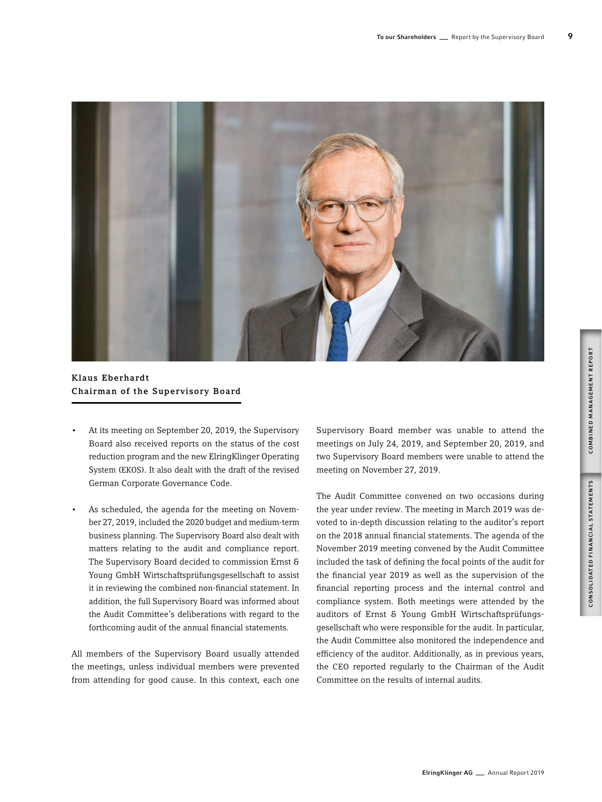

Klaus Eberhardt Chairman of the Supervisory Board

- At its meeting on September 20, 2019, the Supervisory Board also received reports on the status of the cost reduction program and the new ElringKlinger Operating System (EKOS). It also dealt with the draft of the revised German Corporate Governance Code.
- As scheduled, the agenda for the meeting on November 27, 2019, included the 2020 budget and medium-term business planning. The Supervisory Board also dealt with matters relating to the audit and compliance report. The Supervisory Board decided to commission Ernst & Young GmbH Wirtschaftsprüfungsgesellschaft to assist it in reviewing the combined non-financial statement. In addition, the full Supervisory Board was informed about the Audit Committee's deliberations with regard to the forthcoming audit of the annual financial statements.

All members of the Supervisory Board usually attended the meetings, unless individual members were prevented from attending for good cause. In this context, each one Supervisory Board member was unable to attend the meetings on July 24, 2019, and September 20, 2019, and two Supervisory Board members were unable to attend the meeting on November 27, 2019.

The Audit Committee convened on two occasions during the year under review. The meeting in March 2019 was devoted to in-depth discussion relating to the auditor's report on the 2018 annual financial statements. The agenda of the November 2019 meeting convened by the Audit Committee included the task of defining the focal points of the audit for the financial year 2019 as well as the supervision of the financial reporting process and the internal control and compliance system. Both meetings were attended by the auditors of Ernst & Young GmbH Wirtschaftsprüfungsgesellschaft who were responsible for the audit. In particular, the Audit Committee also monitored the independence and efficiency of the auditor. Additionally, as in previous years, the CEO reported regularly to the Chairman of the Audit Committee on the results of internal audits.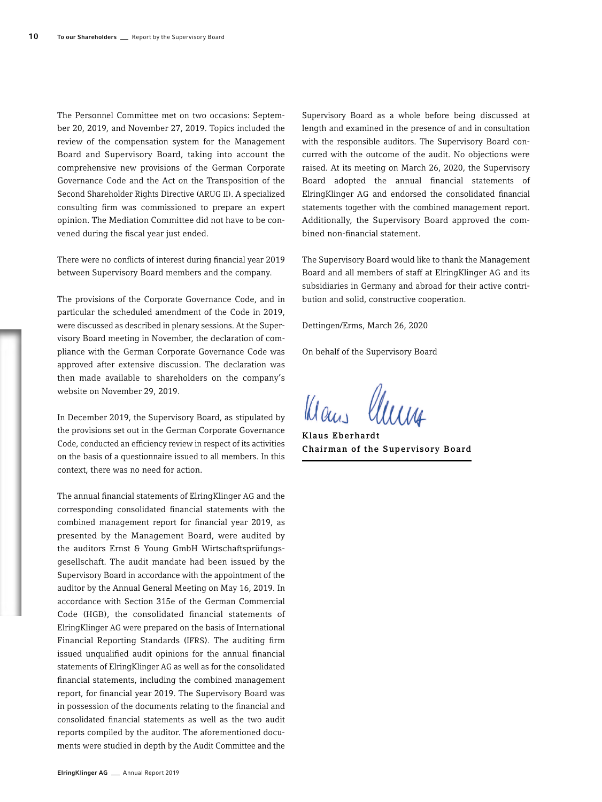The Personnel Committee met on two occasions: September 20, 2019, and November 27, 2019. Topics included the review of the compensation system for the Management Board and Supervisory Board, taking into account the comprehensive new provisions of the German Corporate Governance Code and the Act on the Transposition of the Second Shareholder Rights Directive (ARUG II). A specialized consulting firm was commissioned to prepare an expert opinion. The Mediation Committee did not have to be convened during the fiscal year just ended.

There were no conflicts of interest during financial year 2019 between Supervisory Board members and the company.

The provisions of the Corporate Governance Code, and in particular the scheduled amendment of the Code in 2019, were discussed as described in plenary sessions. At the Supervisory Board meeting in November, the declaration of compliance with the German Corporate Governance Code was approved after extensive discussion. The declaration was then made available to shareholders on the company's website on November 29, 2019.

In December 2019, the Supervisory Board, as stipulated by the provisions set out in the German Corporate Governance Code, conducted an efficiency review in respect of its activities on the basis of a questionnaire issued to all members. In this context, there was no need for action.

The annual financial statements of ElringKlinger AG and the corresponding consolidated financial statements with the combined management report for financial year 2019, as presented by the Management Board, were audited by the auditors Ernst & Young GmbH Wirtschaftsprüfungsgesellschaft. The audit mandate had been issued by the Supervisory Board in accordance with the appointment of the auditor by the Annual General Meeting on May 16, 2019. In accordance with Section 315e of the German Commercial Code (HGB), the consolidated financial statements of ElringKlinger AG were prepared on the basis of International Financial Reporting Standards (IFRS). The auditing firm issued unqualified audit opinions for the annual financial statements of ElringKlinger AG as well as for the consolidated financial statements, including the combined management report, for financial year 2019. The Supervisory Board was in possession of the documents relating to the financial and consolidated financial statements as well as the two audit reports compiled by the auditor. The aforementioned documents were studied in depth by the Audit Committee and the

Supervisory Board as a whole before being discussed at length and examined in the presence of and in consultation with the responsible auditors. The Supervisory Board concurred with the outcome of the audit. No objections were raised. At its meeting on March 26, 2020, the Supervisory Board adopted the annual financial statements of ElringKlinger AG and endorsed the consolidated financial statements together with the combined management report. Additionally, the Supervisory Board approved the combined non-financial statement.

The Supervisory Board would like to thank the Management Board and all members of staff at ElringKlinger AG and its subsidiaries in Germany and abroad for their active contribution and solid, constructive cooperation.

Dettingen/Erms, March 26, 2020

On behalf of the Supervisory Board

Klaus

Klaus Eberhardt Chairman of the Supervisory Board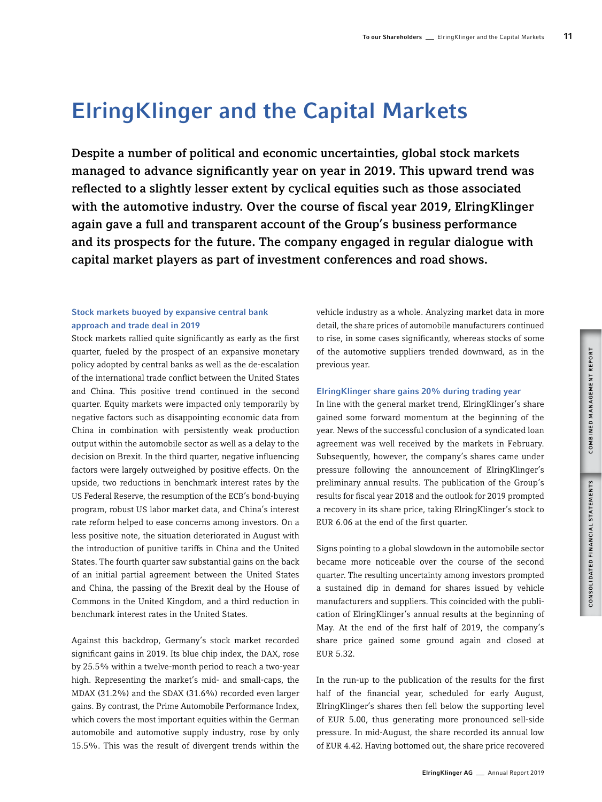# ElringKlinger and the Capital Markets

Despite a number of political and economic uncertainties, global stock markets managed to advance significantly year on year in 2019. This upward trend was reflected to a slightly lesser extent by cyclical equities such as those associated with the automotive industry. Over the course of fiscal year 2019, ElringKlinger again gave a full and transparent account of the Group's business performance and its prospects for the future. The company engaged in regular dialogue with capital market players as part of investment conferences and road shows.

# Stock markets buoyed by expansive central bank approach and trade deal in 2019

Stock markets rallied quite significantly as early as the first quarter, fueled by the prospect of an expansive monetary policy adopted by central banks as well as the de-escalation of the international trade conflict between the United States and China. This positive trend continued in the second quarter. Equity markets were impacted only temporarily by negative factors such as disappointing economic data from China in combination with persistently weak production output within the automobile sector as well as a delay to the decision on Brexit. In the third quarter, negative influencing factors were largely outweighed by positive effects. On the upside, two reductions in benchmark interest rates by the US Federal Reserve, the resumption of the ECB's bond-buying program, robust US labor market data, and China's interest rate reform helped to ease concerns among investors. On a less positive note, the situation deteriorated in August with the introduction of punitive tariffs in China and the United States. The fourth quarter saw substantial gains on the back of an initial partial agreement between the United States and China, the passing of the Brexit deal by the House of Commons in the United Kingdom, and a third reduction in benchmark interest rates in the United States.

Against this backdrop, Germany's stock market recorded significant gains in 2019. Its blue chip index, the DAX, rose by 25.5% within a twelve-month period to reach a two-year high. Representing the market's mid- and small-caps, the MDAX (31.2%) and the SDAX (31.6%) recorded even larger gains. By contrast, the Prime Automobile Performance Index, which covers the most important equities within the German automobile and automotive supply industry, rose by only 15.5%. This was the result of divergent trends within the

vehicle industry as a whole. Analyzing market data in more detail, the share prices of automobile manufacturers continued to rise, in some cases significantly, whereas stocks of some of the automotive suppliers trended downward, as in the previous year.

### ElringKlinger share gains 20% during trading year

In line with the general market trend, ElringKlinger's share gained some forward momentum at the beginning of the year. News of the successful conclusion of a syndicated loan agreement was well received by the markets in February. Subsequently, however, the company's shares came under pressure following the announcement of ElringKlinger's preliminary annual results. The publication of the Group's results for fiscal year 2018 and the outlook for 2019 prompted a recovery in its share price, taking ElringKlinger's stock to EUR 6.06 at the end of the first quarter.

Signs pointing to a global slowdown in the automobile sector became more noticeable over the course of the second quarter. The resulting uncertainty among investors prompted a sustained dip in demand for shares issued by vehicle manufacturers and suppliers. This coincided with the publication of ElringKlinger's annual results at the beginning of May. At the end of the first half of 2019, the company's share price gained some ground again and closed at EUR 5.32.

In the run-up to the publication of the results for the first half of the financial year, scheduled for early August, ElringKlinger's shares then fell below the supporting level of EUR 5.00, thus generating more pronounced sell-side pressure. In mid-August, the share recorded its annual low of EUR 4.42. Having bottomed out, the share price recovered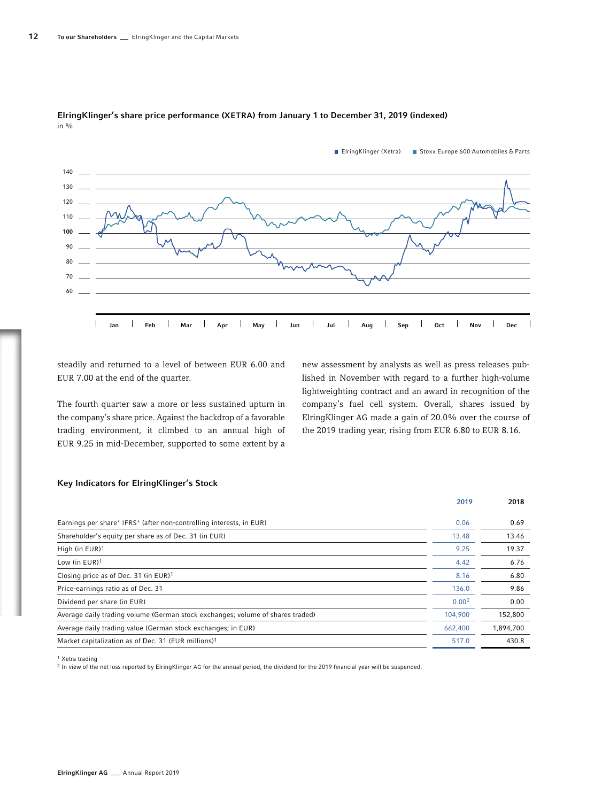

#### ElringKlinger's share price performance (XETRA) from January 1 to December 31, 2019 (indexed) in %

steadily and returned to a level of between EUR 6.00 and EUR 7.00 at the end of the quarter.

The fourth quarter saw a more or less sustained upturn in the company's share price. Against the backdrop of a favorable trading environment, it climbed to an annual high of EUR 9.25 in mid-December, supported to some extent by a new assessment by analysts as well as press releases published in November with regard to a further high-volume lightweighting contract and an award in recognition of the company's fuel cell system. Overall, shares issued by ElringKlinger AG made a gain of 20.0% over the course of the 2019 trading year, rising from EUR 6.80 to EUR 8.16.

### Key Indicators for ElringKlinger's Stock

|                                                                                | 2019              | 2018      |
|--------------------------------------------------------------------------------|-------------------|-----------|
| Earnings per share* IFRS* (after non-controlling interests, in EUR)            | 0.06              | 0.69      |
| Shareholder's equity per share as of Dec. 31 (in EUR)                          | 13.48             | 13.46     |
| High (in EUR)1                                                                 | 9.25              | 19.37     |
| Low (in EUR) <sup>1</sup>                                                      | 4.42              | 6.76      |
| Closing price as of Dec. 31 (in EUR) <sup>1</sup>                              | 8.16              | 6.80      |
| Price-earnings ratio as of Dec. 31                                             | 136.0             | 9.86      |
| Dividend per share (in EUR)                                                    | 0.00 <sup>2</sup> | 0.00      |
| Average daily trading volume (German stock exchanges; volume of shares traded) | 104,900           | 152,800   |
| Average daily trading value (German stock exchanges; in EUR)                   | 662,400           | 1,894,700 |
| Market capitalization as of Dec. 31 (EUR millions) <sup>1</sup>                | 517.0             | 430.8     |

1 Xetra trading

2 In view of the net loss reported by ElringKlinger AG for the annual period, the dividend for the 2019 financial year will be suspended.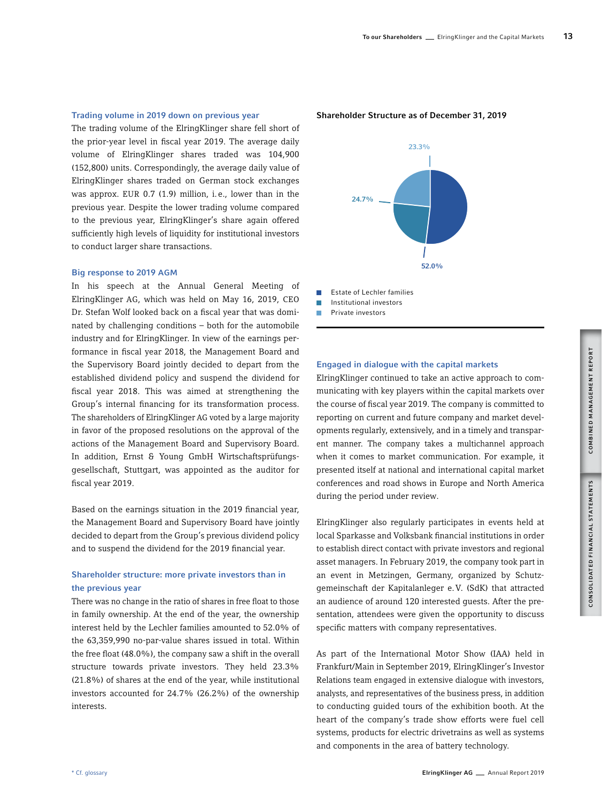## Trading volume in 2019 down on previous year

The trading volume of the ElringKlinger share fell short of the prior-year level in fiscal year 2019. The average daily volume of ElringKlinger shares traded was 104,900 (152,800) units. Correspondingly, the average daily value of ElringKlinger shares traded on German stock exchanges was approx. EUR 0.7 (1.9) million, i.e., lower than in the previous year. Despite the lower trading volume compared to the previous year, ElringKlinger's share again offered sufficiently high levels of liquidity for institutional investors to conduct larger share transactions.

### Big response to 2019 AGM

In his speech at the Annual General Meeting of ElringKlinger AG, which was held on May 16, 2019, CEO Dr. Stefan Wolf looked back on a fiscal year that was dominated by challenging conditions – both for the automobile industry and for ElringKlinger. In view of the earnings performance in fiscal year 2018, the Management Board and the Supervisory Board jointly decided to depart from the established dividend policy and suspend the dividend for fiscal year 2018. This was aimed at strengthening the Group's internal financing for its transformation process. The shareholders of ElringKlinger AG voted by a large majority in favor of the proposed resolutions on the approval of the actions of the Management Board and Supervisory Board. In addition, Ernst & Young GmbH Wirtschaftsprüfungsgesellschaft, Stuttgart, was appointed as the auditor for fiscal year 2019.

Based on the earnings situation in the 2019 financial year, the Management Board and Supervisory Board have jointly decided to depart from the Group's previous dividend policy and to suspend the dividend for the 2019 financial year.

# Shareholder structure: more private investors than in the previous year

There was no change in the ratio of shares in free float to those in family ownership. At the end of the year, the ownership interest held by the Lechler families amounted to 52.0% of the 63,359,990 no-par-value shares issued in total. Within the free float (48.0%), the company saw a shift in the overall structure towards private investors. They held 23.3% (21.8%) of shares at the end of the year, while institutional investors accounted for 24.7% (26.2%) of the ownership interests.

Shareholder Structure as of December 31, 2019



 $\mathcal{L}$ Estate of Lechler families

Institutional investors

 $\overline{\phantom{a}}$ Private investors

# Engaged in dialogue with the capital markets

ElringKlinger continued to take an active approach to communicating with key players within the capital markets over the course of fiscal year 2019. The company is committed to reporting on current and future company and market developments regularly, extensively, and in a timely and transparent manner. The company takes a multichannel approach when it comes to market communication. For example, it presented itself at national and international capital market conferences and road shows in Europe and North America during the period under review.

ElringKlinger also regularly participates in events held at local Sparkasse and Volksbank financial institutions in order to establish direct contact with private investors and regional asset managers. In February 2019, the company took part in an event in Metzingen, Germany, organized by Schutzgemeinschaft der Kapitalanleger e.V. (SdK) that attracted an audience of around 120 interested guests. After the presentation, attendees were given the opportunity to discuss specific matters with company representatives.

As part of the International Motor Show (IAA) held in Frankfurt/Main in September 2019, ElringKlinger's Investor Relations team engaged in extensive dialogue with investors, analysts, and representatives of the business press, in addition to conducting guided tours of the exhibition booth. At the heart of the company's trade show efforts were fuel cell systems, products for electric drivetrains as well as systems and components in the area of battery technology.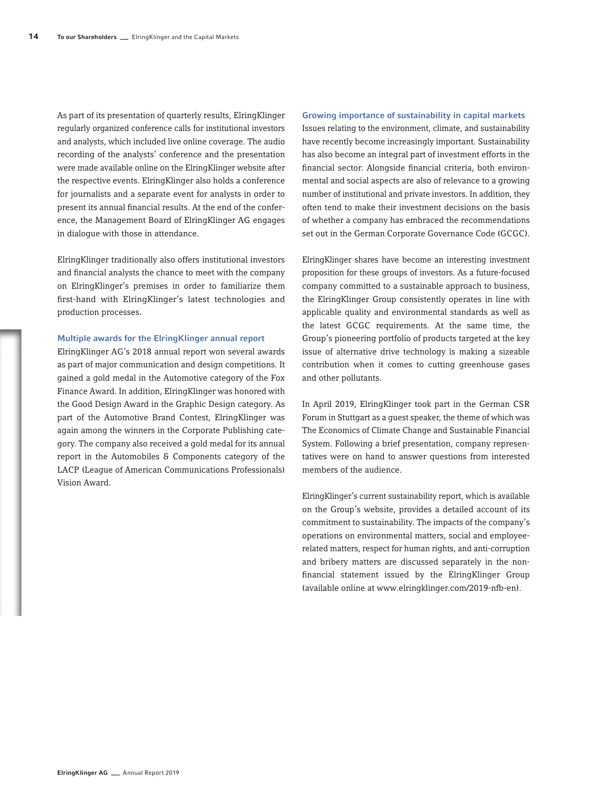As part of its presentation of quarterly results, ElringKlinger regularly organized conference calls for institutional investors and analysts, which included live online coverage. The audio recording of the analysts' conference and the presentation were made available online on the ElringKlinger website after the respective events. ElringKlinger also holds a conference for journalists and a separate event for analysts in order to present its annual financial results. At the end of the conference, the Management Board of ElringKlinger AG engages in dialogue with those in attendance.

ElringKlinger traditionally also offers institutional investors and financial analysts the chance to meet with the company on ElringKlinger's premises in order to familiarize them first-hand with ElringKlinger's latest technologies and production processes.

#### Multiple awards for the ElringKlinger annual report

ElringKlinger AG's 2018 annual report won several awards as part of major communication and design competitions. It gained a gold medal in the Automotive category of the Fox Finance Award. In addition, ElringKlinger was honored with the Good Design Award in the Graphic Design category. As part of the Automotive Brand Contest, ElringKlinger was again among the winners in the Corporate Publishing category. The company also received a gold medal for its annual report in the Automobiles & Components category of the LACP (League of American Communications Professionals) Vision Award.

#### Growing importance of sustainability in capital markets

Issues relating to the environment, climate, and sustainability have recently become increasingly important. Sustainability has also become an integral part of investment efforts in the financial sector. Alongside financial criteria, both environmental and social aspects are also of relevance to a growing number of institutional and private investors. In addition, they often tend to make their investment decisions on the basis of whether a company has embraced the recommendations set out in the German Corporate Governance Code (GCGC).

ElringKlinger shares have become an interesting investment proposition for these groups of investors. As a future-focused company committed to a sustainable approach to business, the ElringKlinger Group consistently operates in line with applicable quality and environmental standards as well as the latest GCGC requirements. At the same time, the Group's pioneering portfolio of products targeted at the key issue of alternative drive technology is making a sizeable contribution when it comes to cutting greenhouse gases and other pollutants.

In April 2019, ElringKlinger took part in the German CSR Forum in Stuttgart as a guest speaker, the theme of which was The Economics of Climate Change and Sustainable Financial System. Following a brief presentation, company representatives were on hand to answer questions from interested members of the audience.

ElringKlinger's current sustainability report, which is available on the Group's website, provides a detailed account of its commitment to sustainability. The impacts of the company's operations on environmental matters, social and employeerelated matters, respect for human rights, and anti-corruption and bribery matters are discussed separately in the nonfinancial statement issued by the ElringKlinger Group (available online at www.elringklinger.com/2019-nfb-en).